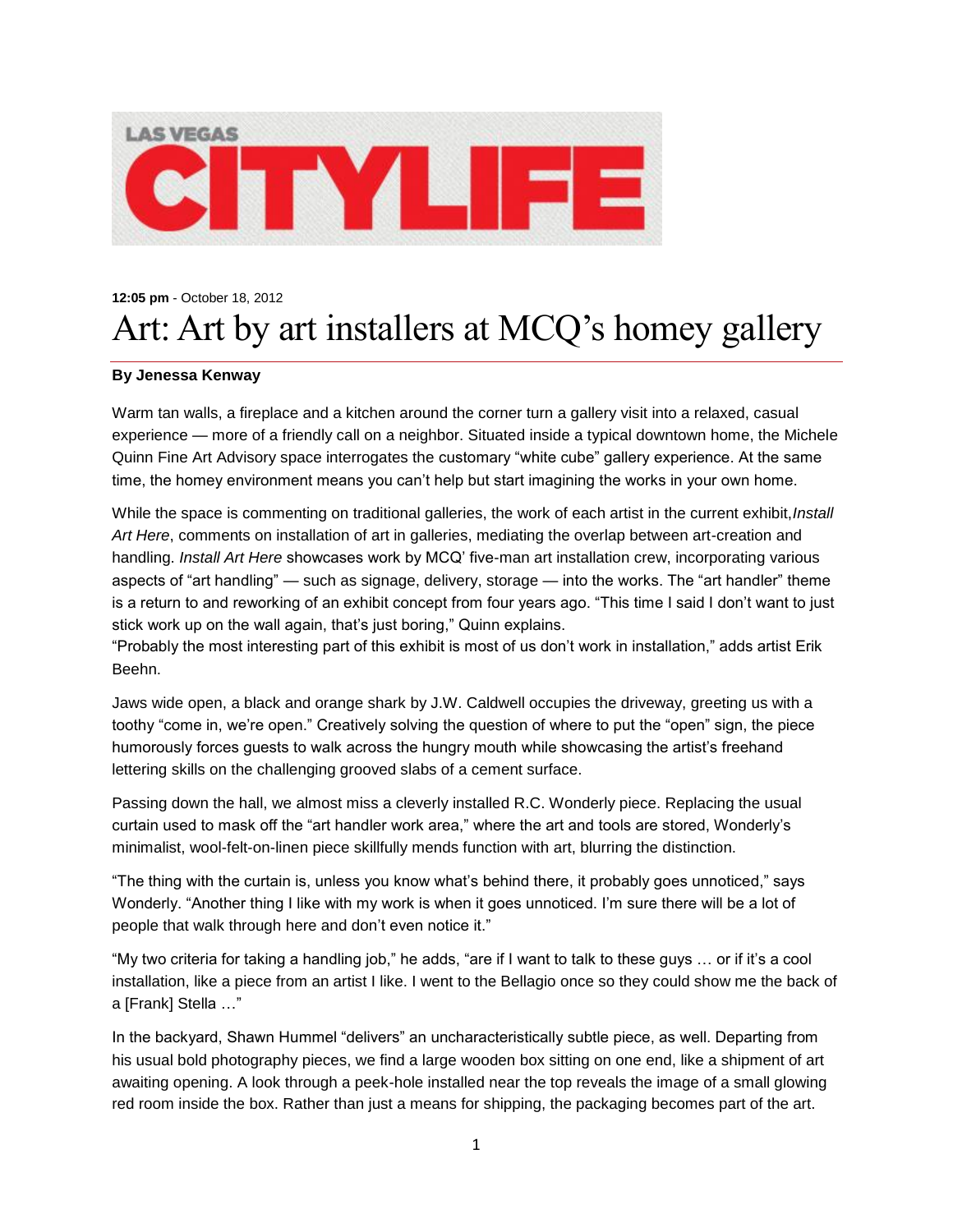

## **12:05 pm** - October 18, 2012 Art: Art by art installers at MCQ's homey gallery

## **By Jenessa Kenway**

Warm tan walls, a fireplace and a kitchen around the corner turn a gallery visit into a relaxed, casual experience — more of a friendly call on a neighbor. Situated inside a typical downtown home, the Michele Quinn Fine Art Advisory space interrogates the customary "white cube" gallery experience. At the same time, the homey environment means you can't help but start imagining the works in your own home.

While the space is commenting on traditional galleries, the work of each artist in the current exhibit,*Install Art Here*, comments on installation of art in galleries, mediating the overlap between art-creation and handling. *Install Art Here* showcases work by MCQ' five-man art installation crew, incorporating various aspects of "art handling" — such as signage, delivery, storage — into the works. The "art handler" theme is a return to and reworking of an exhibit concept from four years ago. "This time I said I don't want to just stick work up on the wall again, that's just boring," Quinn explains.

"Probably the most interesting part of this exhibit is most of us don't work in installation," adds artist Erik Beehn.

Jaws wide open, a black and orange shark by J.W. Caldwell occupies the driveway, greeting us with a toothy "come in, we're open." Creatively solving the question of where to put the "open" sign, the piece humorously forces guests to walk across the hungry mouth while showcasing the artist's freehand lettering skills on the challenging grooved slabs of a cement surface.

Passing down the hall, we almost miss a cleverly installed R.C. Wonderly piece. Replacing the usual curtain used to mask off the "art handler work area," where the art and tools are stored, Wonderly's minimalist, wool-felt-on-linen piece skillfully mends function with art, blurring the distinction.

"The thing with the curtain is, unless you know what's behind there, it probably goes unnoticed," says Wonderly. "Another thing I like with my work is when it goes unnoticed. I'm sure there will be a lot of people that walk through here and don't even notice it."

"My two criteria for taking a handling job," he adds, "are if I want to talk to these guys … or if it's a cool installation, like a piece from an artist I like. I went to the Bellagio once so they could show me the back of a [Frank] Stella …"

In the backyard, Shawn Hummel "delivers" an uncharacteristically subtle piece, as well. Departing from his usual bold photography pieces, we find a large wooden box sitting on one end, like a shipment of art awaiting opening. A look through a peek-hole installed near the top reveals the image of a small glowing red room inside the box. Rather than just a means for shipping, the packaging becomes part of the art.